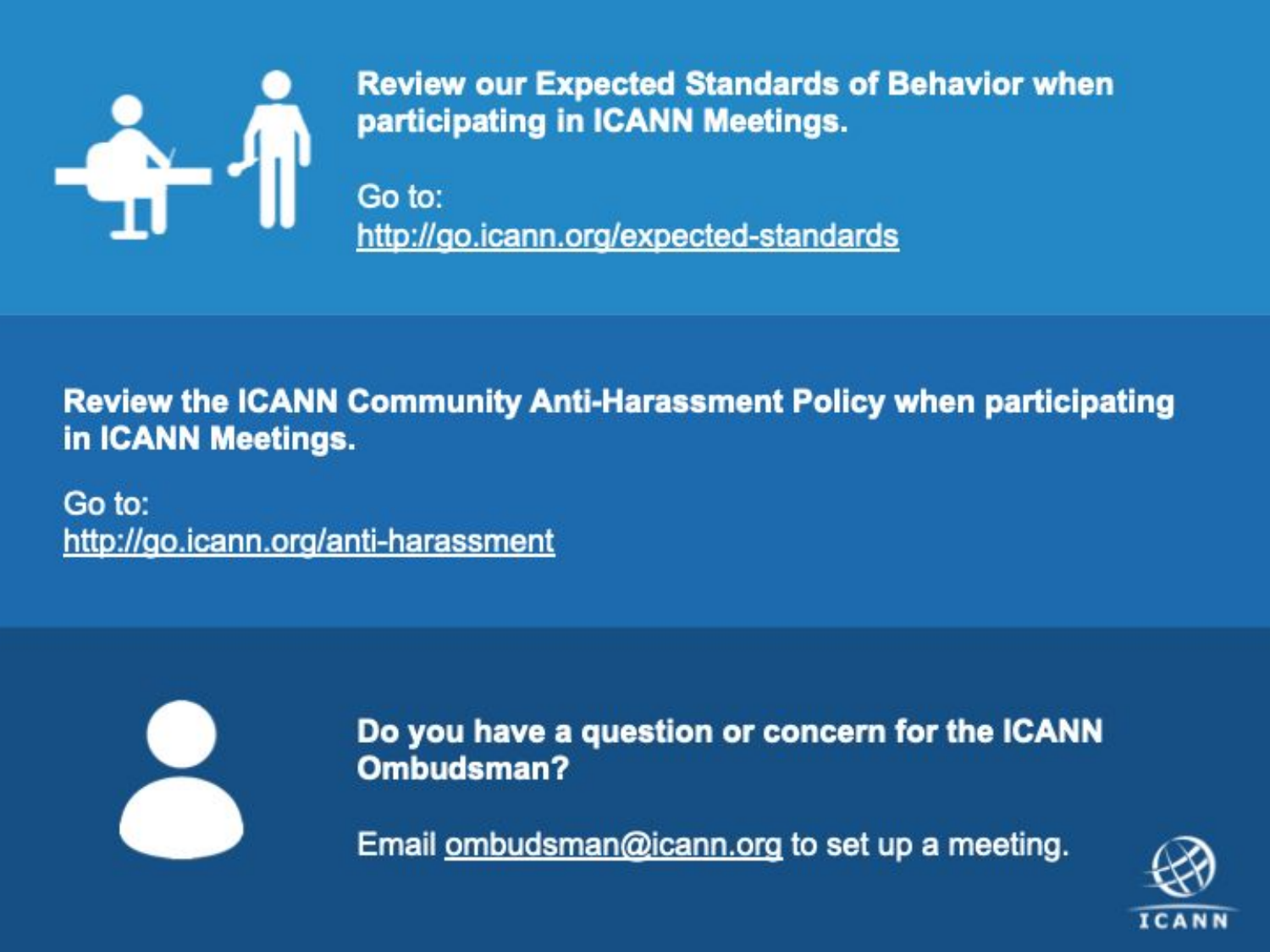

**Review our Expected Standards of Behavior when** participating in ICANN Meetings.

Go to: http://go.icann.org/expected-standards

**Review the ICANN Community Anti-Harassment Policy when participating** in ICANN Meetings.

Go to: http://go.icann.org/anti-harassment



Do you have a question or concern for the ICANN Ombudsman?

Email ombudsman@icann.org to set up a meeting.

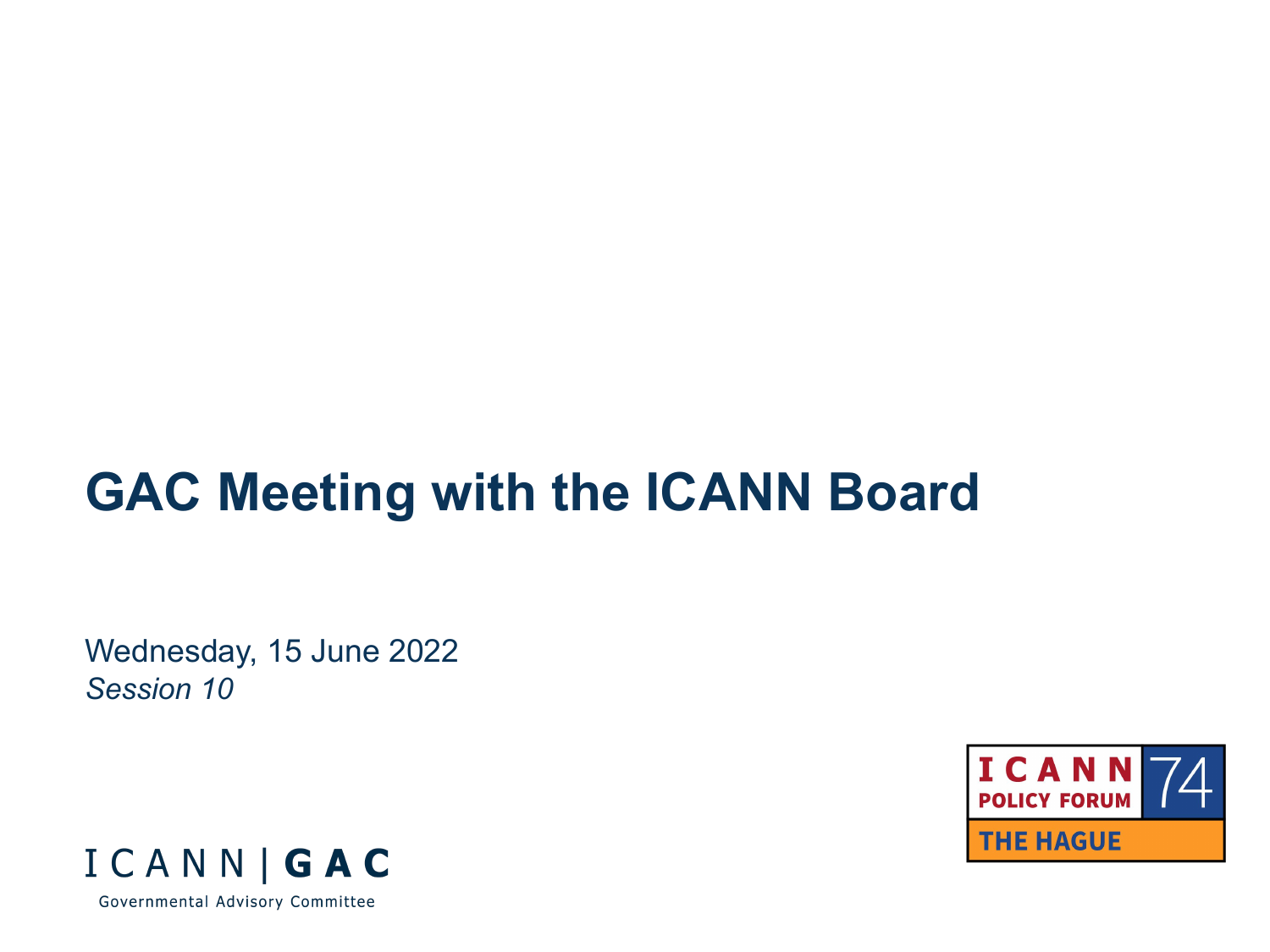# **GAC Meeting with the ICANN Board**

Wednesday, 15 June 2022 *Session 10*



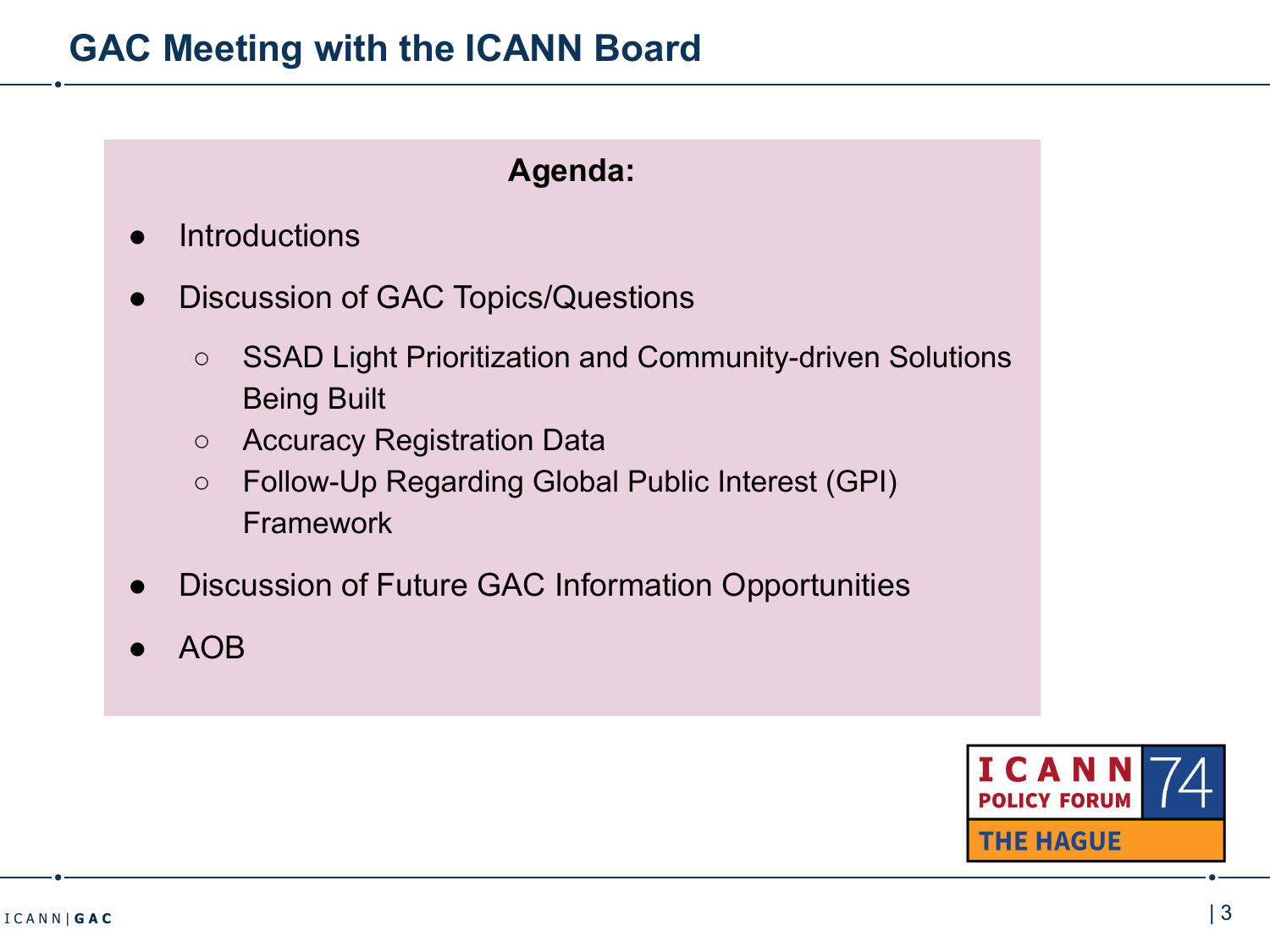# **GAC Meeting with the ICANN Board**

## **Agenda:**

- **Introductions**
- Discussion of GAC Topics/Questions
	- SSAD Light Prioritization and Community-driven Solutions Being Built
	- Accuracy Registration Data
	- Follow-Up Regarding Global Public Interest (GPI) Framework
- Discussion of Future GAC Information Opportunities
- AOB

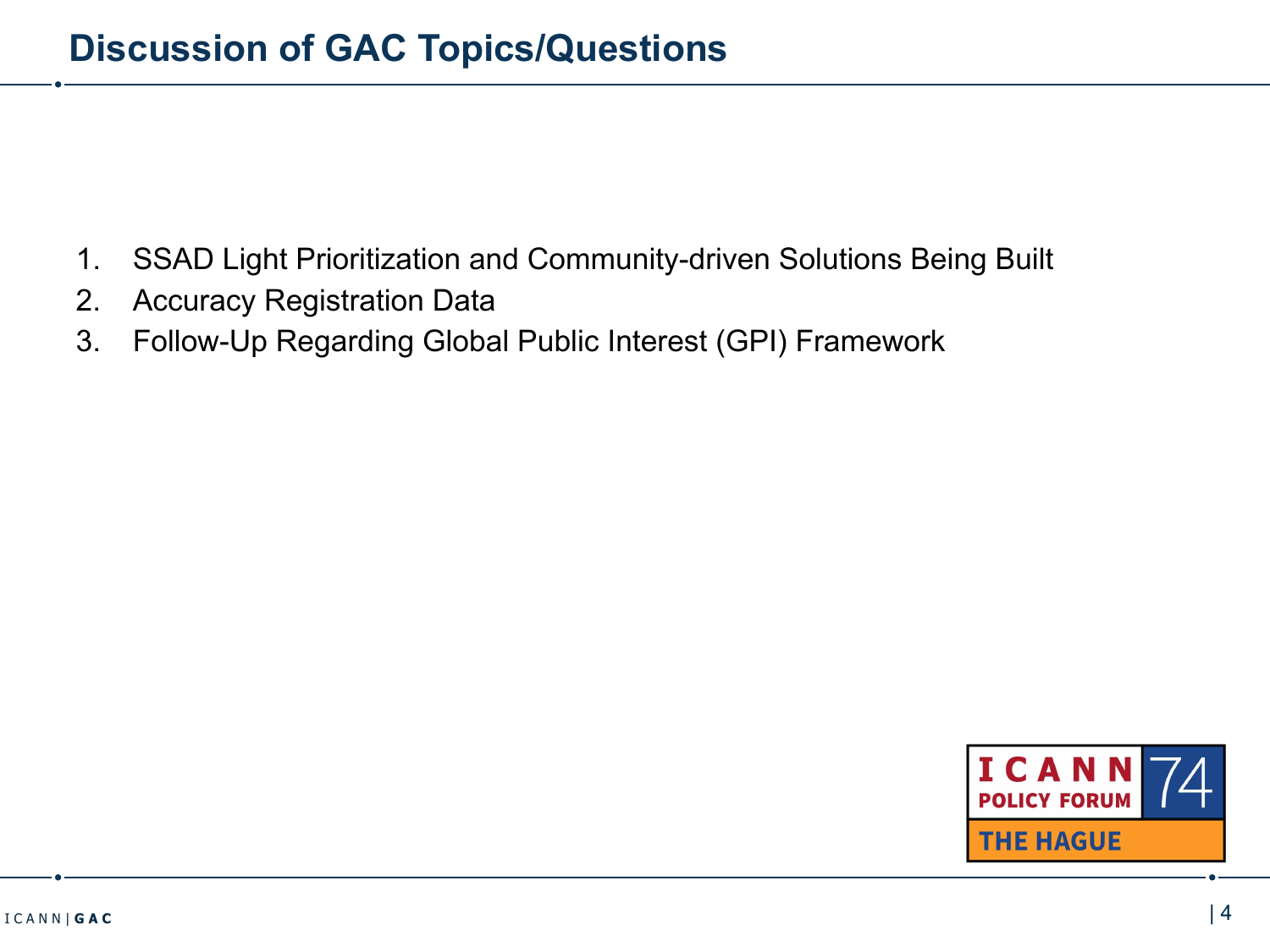- 1. SSAD Light Prioritization and Community-driven Solutions Being Built
- 2. Accuracy Registration Data
- 3. Follow-Up Regarding Global Public Interest (GPI) Framework

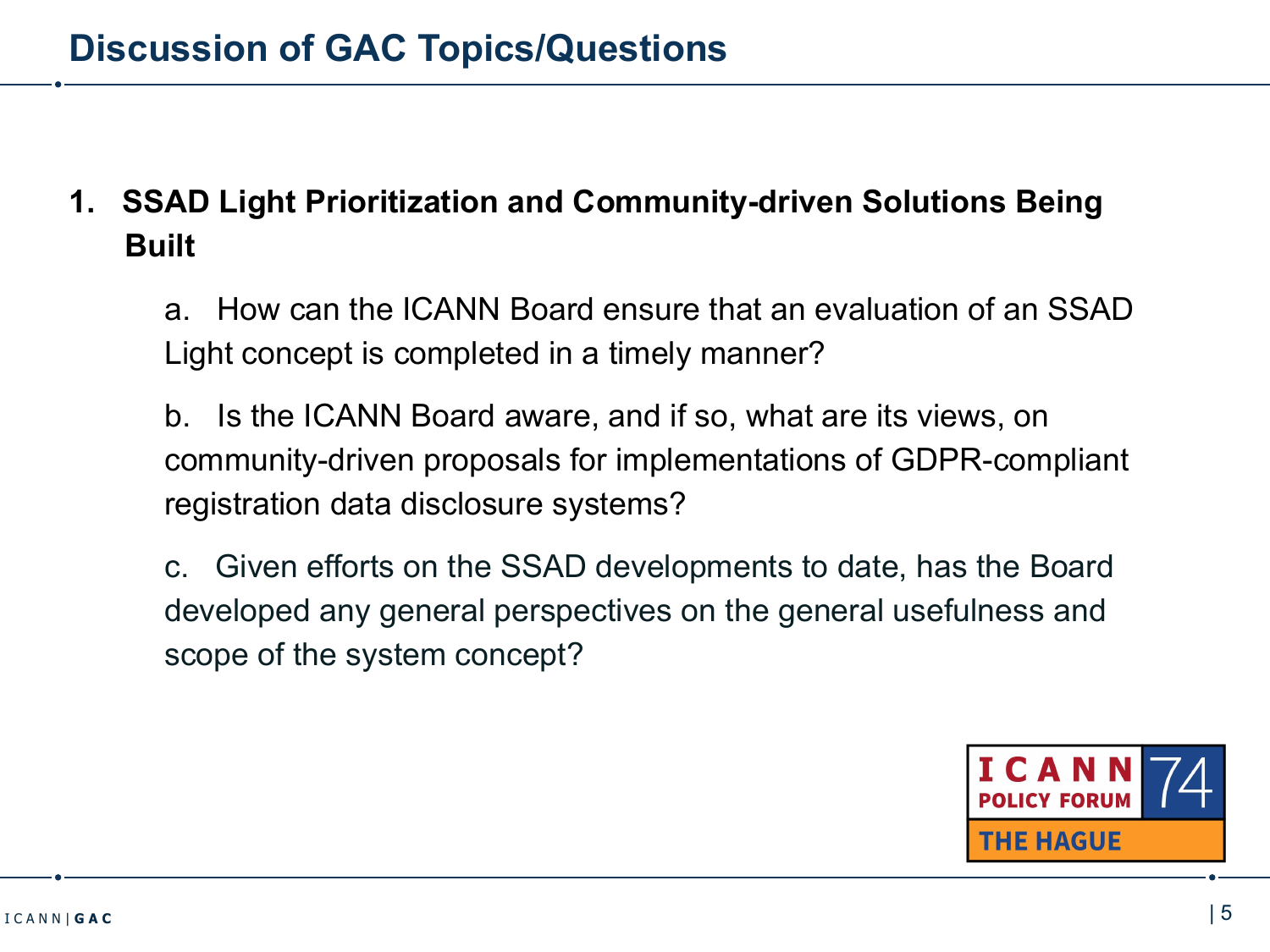# **1. SSAD Light Prioritization and Community-driven Solutions Being Built**

a. How can the ICANN Board ensure that an evaluation of an SSAD Light concept is completed in a timely manner?

b. Is the ICANN Board aware, and if so, what are its views, on community-driven proposals for implementations of GDPR-compliant registration data disclosure systems?

c. Given efforts on the SSAD developments to date, has the Board developed any general perspectives on the general usefulness and scope of the system concept?

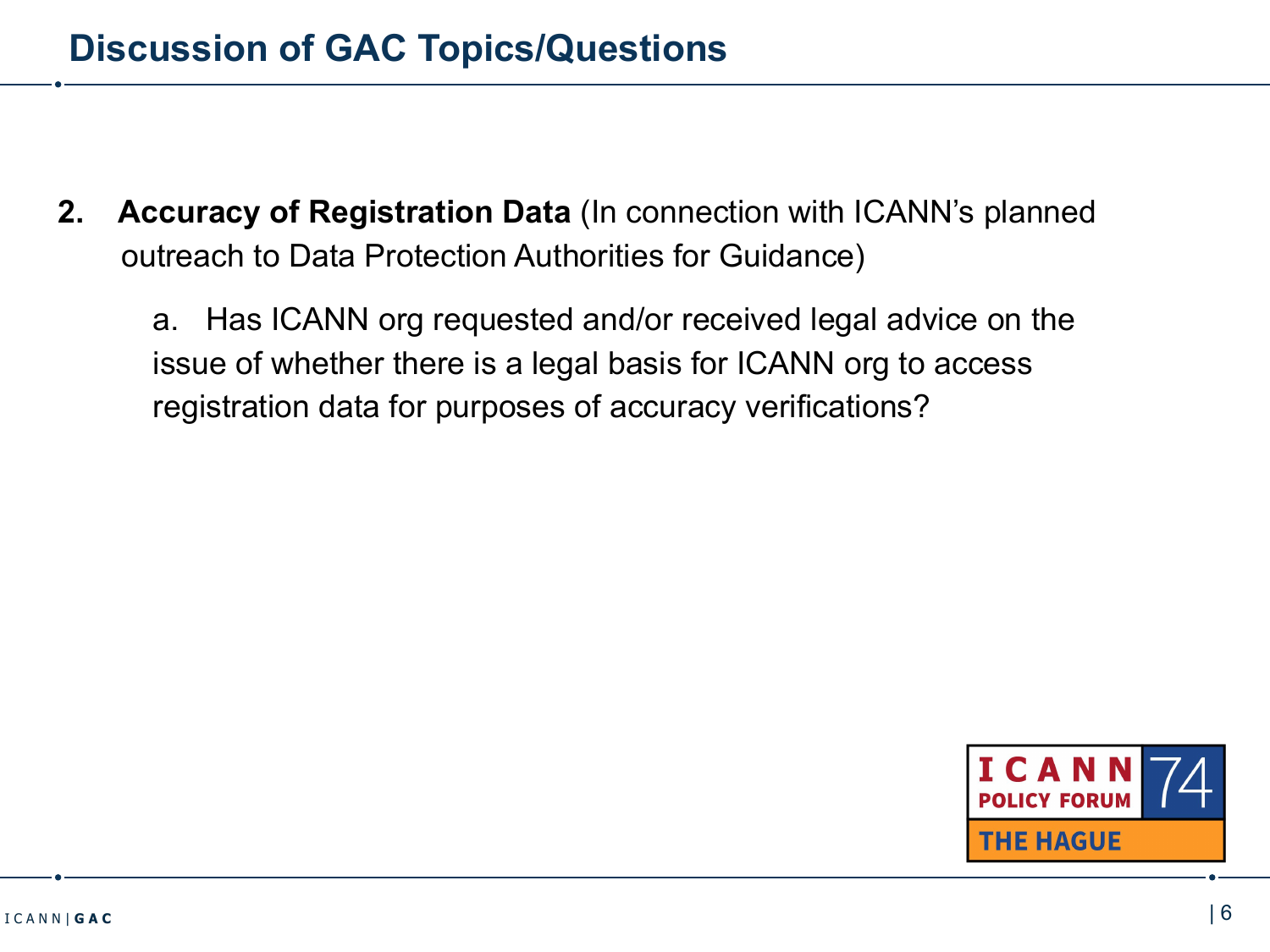**2. Accuracy of Registration Data** (In connection with ICANN's planned outreach to Data Protection Authorities for Guidance)

a. Has ICANN org requested and/or received legal advice on the issue of whether there is a legal basis for ICANN org to access registration data for purposes of accuracy verifications?

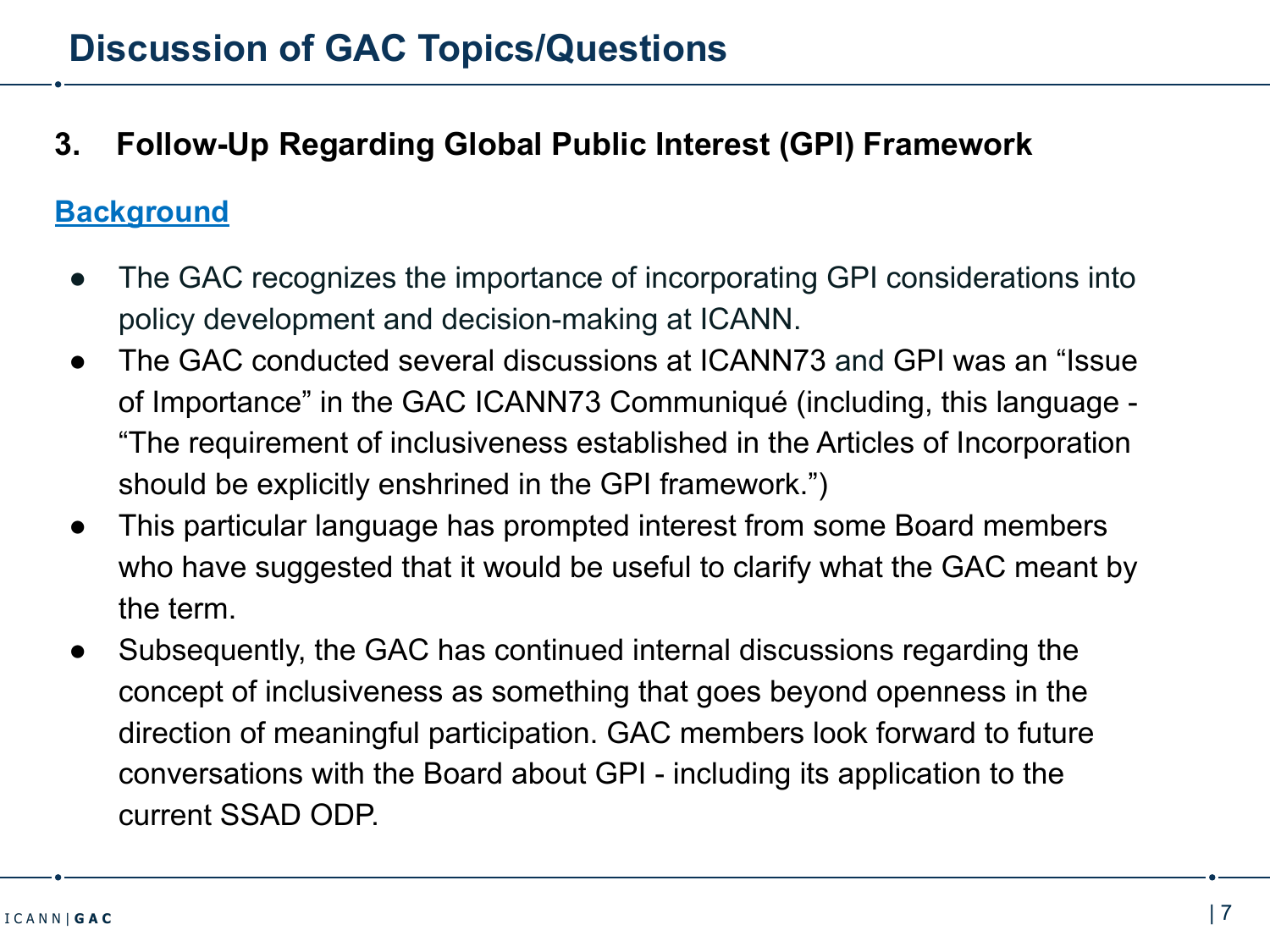# **3. Follow-Up Regarding Global Public Interest (GPI) Framework**

#### **Background**

- The GAC recognizes the importance of incorporating GPI considerations into policy development and decision-making at ICANN.
- The GAC conducted several discussions at ICANN73 and GPI was an "Issue" of Importance" in the GAC ICANN73 Communiqué (including, this language - "The requirement of inclusiveness established in the Articles of Incorporation should be explicitly enshrined in the GPI framework.")
- This particular language has prompted interest from some Board members who have suggested that it would be useful to clarify what the GAC meant by the term.
- Subsequently, the GAC has continued internal discussions regarding the concept of inclusiveness as something that goes beyond openness in the direction of meaningful participation. GAC members look forward to future conversations with the Board about GPI - including its application to the current SSAD ODP.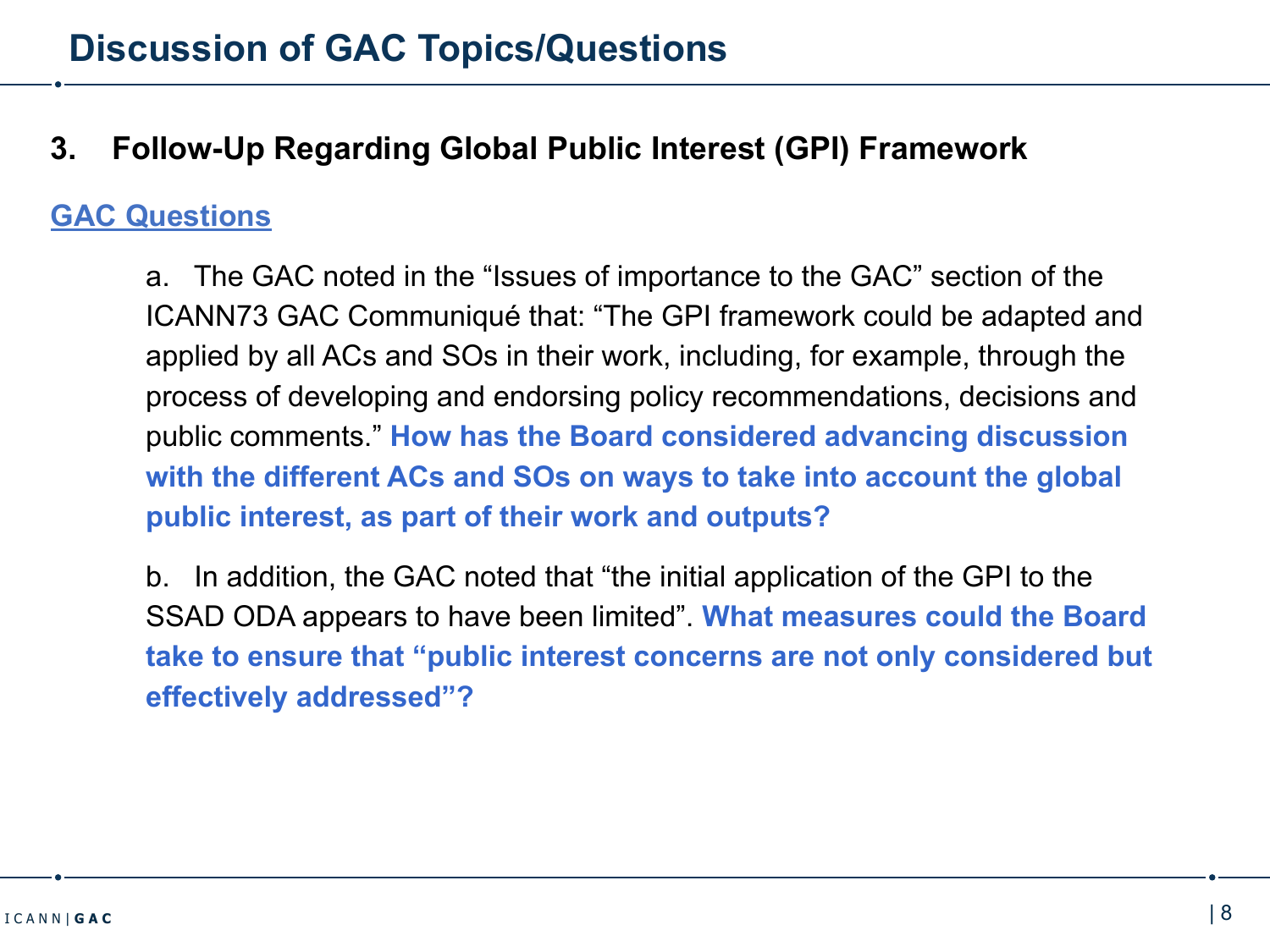# **3. Follow-Up Regarding Global Public Interest (GPI) Framework**

## **GAC Questions**

a. The GAC noted in the "Issues of importance to the GAC" section of the ICANN73 GAC Communiqué that: "The GPI framework could be adapted and applied by all ACs and SOs in their work, including, for example, through the process of developing and endorsing policy recommendations, decisions and public comments." **How has the Board considered advancing discussion with the different ACs and SOs on ways to take into account the global public interest, as part of their work and outputs?**

b. In addition, the GAC noted that "the initial application of the GPI to the SSAD ODA appears to have been limited". **What measures could the Board take to ensure that "public interest concerns are not only considered but effectively addressed"?**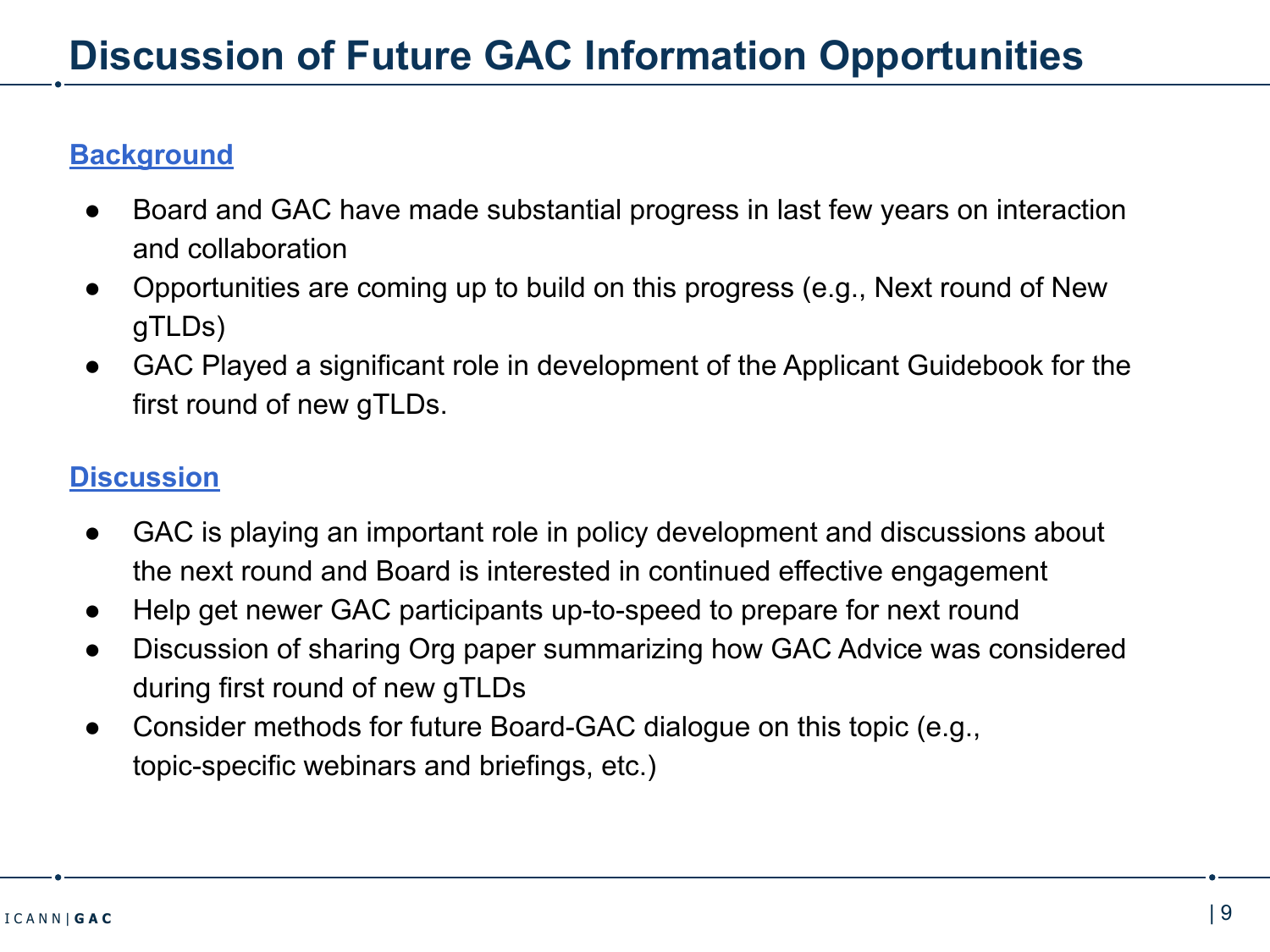#### **Background**

- Board and GAC have made substantial progress in last few years on interaction and collaboration
- Opportunities are coming up to build on this progress (e.g., Next round of New gTLDs)
- GAC Played a significant role in development of the Applicant Guidebook for the first round of new gTLDs.

## **Discussion**

- GAC is playing an important role in policy development and discussions about the next round and Board is interested in continued effective engagement
- Help get newer GAC participants up-to-speed to prepare for next round
- Discussion of sharing Org paper summarizing how GAC Advice was considered during first round of new gTLDs
- Consider methods for future Board-GAC dialogue on this topic (e.g., topic-specific webinars and briefings, etc.)